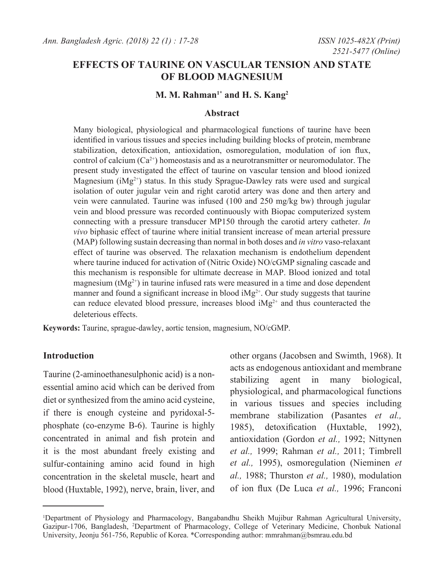# **EFFECTS OF TAURINE ON VASCULAR TENSION AND STATE OF BLOOD MAGNESIUM**

# **M. M. Rahman1\* and H. S. Kang2**

### **Abstract**

Many biological, physiological and pharmacological functions of taurine have been identified in various tissues and species including building blocks of protein, membrane stabilization, detoxification, antioxidation, osmoregulation, modulation of ion flux, control of calcium  $(Ca^{2+})$  homeostasis and as a neurotransmitter or neuromodulator. The present study investigated the effect of taurine on vascular tension and blood ionized Magnesium ( $iMg^{2+}$ ) status. In this study Sprague-Dawley rats were used and surgical isolation of outer jugular vein and right carotid artery was done and then artery and vein were cannulated. Taurine was infused (100 and 250 mg/kg bw) through jugular vein and blood pressure was recorded continuously with Biopac computerized system connecting with a pressure transducer MP150 through the carotid artery catheter. *In vivo* biphasic effect of taurine where initial transient increase of mean arterial pressure (MAP) following sustain decreasing than normal in both doses and *in vitro* vaso-relaxant effect of taurine was observed. The relaxation mechanism is endothelium dependent where taurine induced for activation of (Nitric Oxide) NO/cGMP signaling cascade and this mechanism is responsible for ultimate decrease in MAP. Blood ionized and total magnesium ( $tMg^{2+}$ ) in taurine infused rats were measured in a time and dose dependent manner and found a significant increase in blood  $iMg^{2+}$ . Our study suggests that taurine can reduce elevated blood pressure, increases blood iMg2+ and thus counteracted the deleterious effects.

**Keywords:** Taurine, sprague-dawley, aortic tension, magnesium, NO/cGMP.

#### **Introduction**

Taurine (2-aminoethanesulphonic acid) is a nonessential amino acid which can be derived from diet or synthesized from the amino acid cysteine, if there is enough cysteine and pyridoxal-5 phosphate (co-enzyme B-6). Taurine is highly concentrated in animal and fish protein and it is the most abundant freely existing and sulfur-containing amino acid found in high concentration in the skeletal muscle, heart and blood (Huxtable, 1992), nerve, brain, liver, and

other organs (Jacobsen and Swimth, 1968). It acts as endogenous antioxidant and membrane stabilizing agent in many biological, physiological, and pharmacological functions in various tissues and species including membrane stabilization (Pasantes *et al.,* 1985), detoxification (Huxtable, 1992), antioxidation (Gordon *et al.,* 1992; Nittynen *et al.,* 1999; Rahman *et al.,* 2011; Timbrell *et al.,* 1995), osmoregulation (Nieminen *et al.,* 1988; Thurston *et al.,* 1980), modulation of ion flux (De Luca *et al.,* 1996; Franconi

<sup>1</sup> Department of Physiology and Pharmacology, Bangabandhu Sheikh Mujibur Rahman Agricultural University, Gazipur-1706, Bangladesh, 2 Department of Pharmacology, College of Veterinary Medicine, Chonbuk National University, Jeonju 561-756, Republic of Korea. \*Corresponding author: mmrahman@bsmrau.edu.bd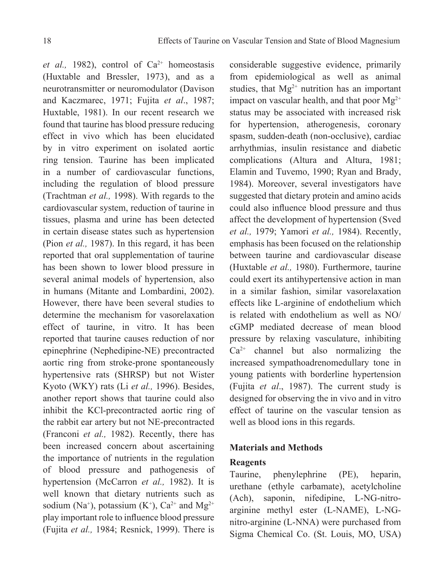(Huxtable and Bressler, 1973), and as a neurotransmitter or neuromodulator (Davison and Kaczmarec, 1971; Fujita *et al*., 1987; Huxtable, 1981). In our recent research we found that taurine has blood pressure reducing effect in vivo which has been elucidated by in vitro experiment on isolated aortic ring tension. Taurine has been implicated in a number of cardiovascular functions, including the regulation of blood pressure (Trachtman *et al.,* 1998). With regards to the cardiovascular system, reduction of taurine in tissues, plasma and urine has been detected in certain disease states such as hypertension (Pion *et al.,* 1987). In this regard, it has been reported that oral supplementation of taurine has been shown to lower blood pressure in several animal models of hypertension, also in humans (Mitante and Lombardini, 2002). However, there have been several studies to determine the mechanism for vasorelaxation effect of taurine, in vitro. It has been reported that taurine causes reduction of nor epinephrine (Nephedipine-NE) precontracted aortic ring from stroke-prone spontaneously hypertensive rats (SHRSP) but not Wister Kyoto (WKY) rats (Li *et al.,* 1996). Besides, another report shows that taurine could also inhibit the KCl-precontracted aortic ring of the rabbit ear artery but not NE-precontracted (Franconi *et al.,* 1982). Recently, there has been increased concern about ascertaining the importance of nutrients in the regulation of blood pressure and pathogenesis of hypertension (McCarron *et al.,* 1982). It is well known that dietary nutrients such as sodium (Na<sup>+</sup>), potassium (K<sup>+</sup>), Ca<sup>2+</sup> and Mg<sup>2+</sup> play important role to influence blood pressure (Fujita *et al.,* 1984; Resnick, 1999). There is

et al., 1982), control of Ca<sup>2+</sup> homeostasis

considerable suggestive evidence, primarily from epidemiological as well as animal studies, that  $Mg^{2+}$  nutrition has an important impact on vascular health, and that poor  $Mg^{2+}$ status may be associated with increased risk for hypertension, atherogenesis, coronary spasm, sudden-death (non-occlusive), cardiac arrhythmias, insulin resistance and diabetic complications (Altura and Altura, 1981; Elamin and Tuvemo, 1990; Ryan and Brady, 1984). Moreover, several investigators have suggested that dietary protein and amino acids could also influence blood pressure and thus affect the development of hypertension (Sved *et al.,* 1979; Yamori *et al.,* 1984). Recently, emphasis has been focused on the relationship between taurine and cardiovascular disease (Huxtable *et al.,* 1980). Furthermore, taurine could exert its antihypertensive action in man in a similar fashion, similar vasorelaxation effects like L-arginine of endothelium which is related with endothelium as well as NO/ cGMP mediated decrease of mean blood pressure by relaxing vasculature, inhibiting  $Ca<sup>2+</sup>$  channel but also normalizing the increased sympathoadrenomedullary tone in young patients with borderline hypertension (Fujita *et al*., 1987). The current study is designed for observing the in vivo and in vitro effect of taurine on the vascular tension as well as blood ions in this regards.

# **Materials and Methods**

# **Reagents**

Taurine, phenylephrine (PE), heparin, urethane (ethyle carbamate), acetylcholine (Ach), saponin, nifedipine, L-NG-nitroarginine methyl ester (L-NAME), L-NGnitro-arginine (L-NNA) were purchased from Sigma Chemical Co. (St. Louis, MO, USA)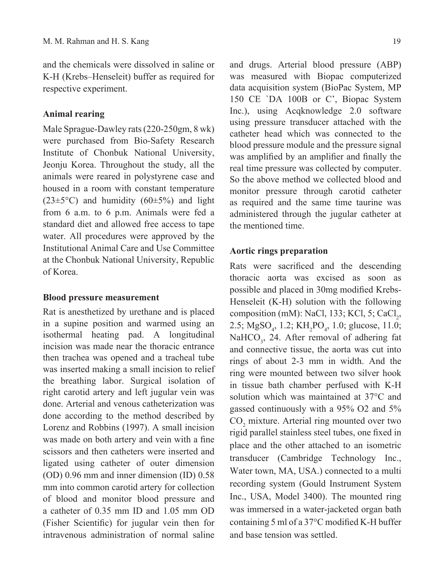and the chemicals were dissolved in saline or K-H (Krebs–Henseleit) buffer as required for respective experiment.

# **Animal rearing**

Male Sprague-Dawley rats (220-250gm, 8 wk) were purchased from Bio-Safety Research Institute of Chonbuk National University, Jeonju Korea. Throughout the study, all the animals were reared in polystyrene case and housed in a room with constant temperature  $(23\pm5\degree C)$  and humidity  $(60\pm5\%)$  and light from 6 a.m. to 6 p.m. Animals were fed a standard diet and allowed free access to tape water. All procedures were approved by the Institutional Animal Care and Use Committee at the Chonbuk National University, Republic of Korea.

#### **Blood pressure measurement**

Rat is anesthetized by urethane and is placed in a supine position and warmed using an isothermal heating pad. A longitudinal incision was made near the thoracic entrance then trachea was opened and a tracheal tube was inserted making a small incision to relief the breathing labor. Surgical isolation of right carotid artery and left jugular vein was done. Arterial and venous catheterization was done according to the method described by Lorenz and Robbins (1997). A small incision was made on both artery and vein with a fine scissors and then catheters were inserted and ligated using catheter of outer dimension (OD) 0.96 mm and inner dimension (ID) 0.58 mm into common carotid artery for collection of blood and monitor blood pressure and a catheter of 0.35 mm ID and 1.05 mm OD (Fisher Scientific) for jugular vein then for intravenous administration of normal saline

and drugs. Arterial blood pressure (ABP) was measured with Biopac computerized data acquisition system (BioPac System, MP 150 CE `DA 100B or C', Biopac System Inc.), using Acqknowledge 2.0 software using pressure transducer attached with the catheter head which was connected to the blood pressure module and the pressure signal was amplified by an amplifier and finally the real time pressure was collected by computer. So the above method we collected blood and monitor pressure through carotid catheter as required and the same time taurine was administered through the jugular catheter at the mentioned time.

# **Aortic rings preparation**

Rats were sacrificed and the descending thoracic aorta was excised as soon as possible and placed in 30mg modified Krebs-Henseleit (K-H) solution with the following composition (mM): NaCl, 133; KCl, 5; CaCl<sub>2</sub>, 2.5;  $MgSO_4$ , 1.2;  $KH_2PO_4$ , 1.0; glucose, 11.0; NaHCO<sub>3</sub>, 24. After removal of adhering fat and connective tissue, the aorta was cut into rings of about 2-3 mm in width. And the ring were mounted between two silver hook in tissue bath chamber perfused with K-H solution which was maintained at 37°C and gassed continuously with a 95% O2 and 5%  $CO<sub>2</sub>$  mixture. Arterial ring mounted over two rigid parallel stainless steel tubes, one fixed in place and the other attached to an isometric transducer (Cambridge Technology Inc., Water town, MA, USA.) connected to a multi recording system (Gould Instrument System Inc., USA, Model 3400). The mounted ring was immersed in a water-jacketed organ bath containing 5 ml of a 37°C modified K-H buffer and base tension was settled.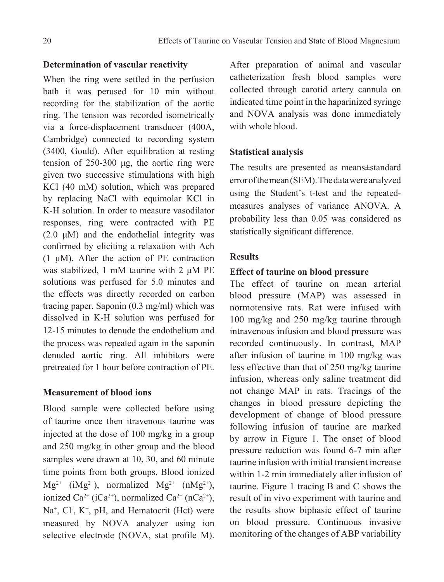# **Determination of vascular reactivity**

When the ring were settled in the perfusion bath it was perused for 10 min without recording for the stabilization of the aortic ring. The tension was recorded isometrically via a force-displacement transducer (400A, Cambridge) connected to recording system (3400, Gould). After equilibration at resting tension of 250-300 μg, the aortic ring were given two successive stimulations with high KCl (40 mM) solution, which was prepared by replacing NaCl with equimolar KCl in K-H solution. In order to measure vasodilator responses, ring were contracted with PE  $(2.0 \mu M)$  and the endothelial integrity was confirmed by eliciting a relaxation with Ach (1 μM). After the action of PE contraction was stabilized, 1 mM taurine with 2 μM PE solutions was perfused for 5.0 minutes and the effects was directly recorded on carbon tracing paper. Saponin (0.3 mg/ml) which was dissolved in K-H solution was perfused for 12-15 minutes to denude the endothelium and the process was repeated again in the saponin denuded aortic ring. All inhibitors were pretreated for 1 hour before contraction of PE.

# **Measurement of blood ions**

Blood sample were collected before using of taurine once then itravenous taurine was injected at the dose of 100 mg/kg in a group and 250 mg/kg in other group and the blood samples were drawn at 10, 30, and 60 minute time points from both groups. Blood ionized  $Mg^{2+}$  (i $Mg^{2+}$ ), normalized  $Mg^{2+}$  (n $Mg^{2+}$ ), ionized Ca<sup>2+</sup> (iCa<sup>2+</sup>), normalized Ca<sup>2+</sup> (nCa<sup>2+</sup>), Na<sup>+</sup>, Cl<sup>-</sup>, K<sup>+</sup>, pH, and Hematocrit (Hct) were measured by NOVA analyzer using ion selective electrode (NOVA, stat profile M).

After preparation of animal and vascular catheterization fresh blood samples were collected through carotid artery cannula on indicated time point in the haparinized syringe and NOVA analysis was done immediately with whole blood.

# **Statistical analysis**

The results are presented as means±standard error of the mean (SEM). The data were analyzed using the Student's t-test and the repeatedmeasures analyses of variance ANOVA. A probability less than 0.05 was considered as statistically significant difference.

# **Results**

### **Effect of taurine on blood pressure**

The effect of taurine on mean arterial blood pressure (MAP) was assessed in normotensive rats. Rat were infused with 100 mg/kg and 250 mg/kg taurine through intravenous infusion and blood pressure was recorded continuously. In contrast, MAP after infusion of taurine in 100 mg/kg was less effective than that of 250 mg/kg taurine infusion, whereas only saline treatment did not change MAP in rats. Tracings of the changes in blood pressure depicting the development of change of blood pressure following infusion of taurine are marked by arrow in Figure 1. The onset of blood pressure reduction was found 6-7 min after taurine infusion with initial transient increase within 1-2 min immediately after infusion of taurine. Figure 1 tracing B and C shows the result of in vivo experiment with taurine and the results show biphasic effect of taurine on blood pressure. Continuous invasive monitoring of the changes of ABP variability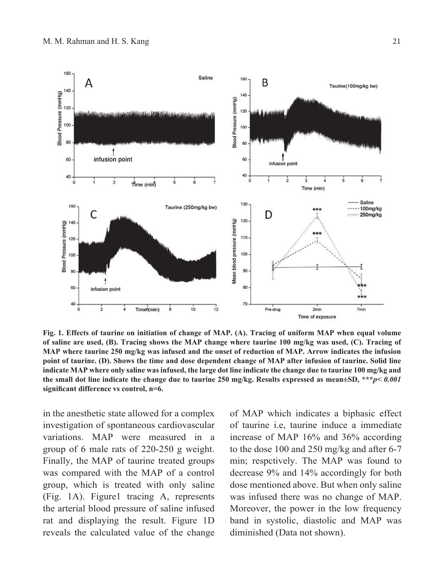

**Fig. 1. Effects of taurine on initiation of change of MAP. (A). Tracing of uniform MAP when equal volume of saline are used, (B). Tracing shows the MAP change where taurine 100 mg/kg was used, (C). Tracing of MAP where taurine 250 mg/kg was infused and the onset of reduction of MAP. Arrow indicates the infusion point of taurine. (D). Shows the time and dose dependent change of MAP after infusion of taurine. Solid line indicate MAP where only saline was infused, the large dot line indicate the change due to taurine 100 mg/kg and the small dot line indicate the change due to taurine 250 mg/kg. Results expressed as mean±SD, \*\*\****p< 0.001* **significant difference vs control, n=6.**

in the anesthetic state allowed for a complex investigation of spontaneous cardiovascular variations. MAP were measured in a group of 6 male rats of 220-250 g weight. Finally, the MAP of taurine treated groups was compared with the MAP of a control group, which is treated with only saline (Fig. 1A). Figure1 tracing A, represents the arterial blood pressure of saline infused rat and displaying the result. Figure 1D reveals the calculated value of the change of MAP which indicates a biphasic effect of taurine i.e, taurine induce a immediate increase of MAP 16% and 36% according to the dose 100 and 250 mg/kg and after 6-7 min; respctively. The MAP was found to decrease 9% and 14% accordingly for both dose mentioned above. But when only saline was infused there was no change of MAP. Moreover, the power in the low frequency band in systolic, diastolic and MAP was diminished (Data not shown).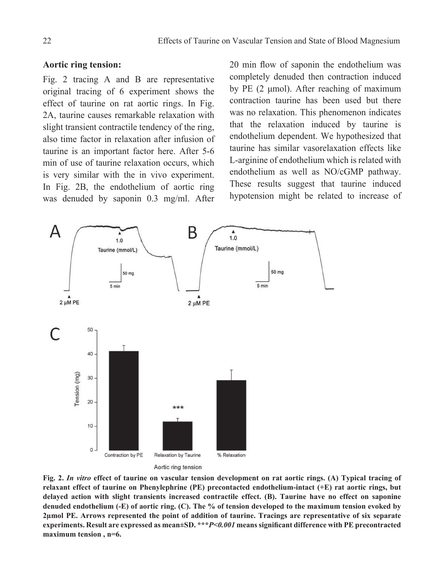#### **Aortic ring tension:**

Fig. 2 tracing A and B are representative original tracing of 6 experiment shows the effect of taurine on rat aortic rings. In Fig. 2A, taurine causes remarkable relaxation with slight transient contractile tendency of the ring, also time factor in relaxation after infusion of taurine is an important factor here. After 5-6 min of use of taurine relaxation occurs, which is very similar with the in vivo experiment. In Fig. 2B, the endothelium of aortic ring was denuded by saponin 0.3 mg/ml. After

20 min flow of saponin the endothelium was completely denuded then contraction induced by PE (2 μmol). After reaching of maximum contraction taurine has been used but there was no relaxation. This phenomenon indicates that the relaxation induced by taurine is endothelium dependent. We hypothesized that taurine has similar vasorelaxation effects like L-arginine of endothelium which is related with endothelium as well as NO/cGMP pathway. These results suggest that taurine induced hypotension might be related to increase of



**Fig. 2.** *In vitro* **effect of taurine on vascular tension development on rat aortic rings. (A) Typical tracing of relaxant effect of taurine on Phenylephrine (PE) precontacted endothelium-intact (+E) rat aortic rings, but delayed action with slight transients increased contractile effect. (B). Taurine have no effect on saponine denuded endothelium (-E) of aortic ring. (C). The % of tension developed to the maximum tension evoked by 2µmol PE. Arrows represented the point of addition of taurine. Tracings are representative of six separate experiments. Result are expressed as mean±SD. \*\*\****P<0.001* **means significant difference with PE precontracted maximum tension , n=6.**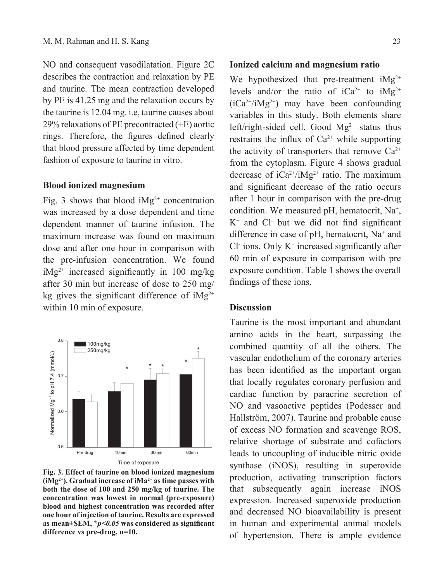NO and consequent vasodilatation. Figure 2C describes the contraction and relaxation by PE and taurine. The mean contraction developed by PE is 41.25 mg and the relaxation occurs by the taurine is 12.04 mg. i.e, taurine causes about 29% relaxations of PE precontracted (+E) aortic rings. Therefore, the figures defined clearly that blood pressure affected by time dependent fashion of exposure to taurine in vitro.

#### **Blood ionized magnesium**

Fig. 3 shows that blood  $iMg^{2+}$  concentration was increased by a dose dependent and time dependent manner of taurine infusion. The maximum increase was found on maximum dose and after one hour in comparison with the pre-infusion concentration. We found  $iMg^{2+}$  increased significantly in 100 mg/kg after 30 min but increase of dose to 250 mg/ kg gives the significant difference of  $iMg^{2+}$ within 10 min of exposure.



**Fig. 3. Effect of taurine on blood ionized magnesium (iMg2+). Gradual increase of iMa2+ as time passes with both the dose of 100 and 250 mg/kg of taurine. The concentration was lowest in normal (pre-exposure) blood and highest concentration was recorded after one hour of injection of taurine. Results are expressed as mean±SEM, \****p<0.05* **was considered as significant difference vs pre-drug, n=10.**

#### **Ionized calcium and magnesium ratio**

We hypothesized that pre-treatment  $iMg^{2+}$ levels and/or the ratio of  $iCa^{2+}$  to  $iMg^{2+}$  $(iCa<sup>2+</sup>/iMg<sup>2+</sup>)$  may have been confounding variables in this study. Both elements share left/right-sided cell. Good  $Mg^{2+}$  status thus restrains the influx of  $Ca^{2+}$  while supporting the activity of transporters that remove  $Ca^{2+}$ from the cytoplasm. Figure 4 shows gradual decrease of  $iCa^{2+}/iMg^{2+}$  ratio. The maximum and significant decrease of the ratio occurs after 1 hour in comparison with the pre-drug condition. We measured pH, hematocrit, Na<sup>+</sup>, K+ and Cl- but we did not find significant difference in case of pH, hematocrit, Na<sup>+</sup> and  $Cl<sup>+</sup>$  ions. Only  $K<sup>+</sup>$  increased significantly after 60 min of exposure in comparison with pre exposure condition. Table 1 shows the overall findings of these ions.

#### **Discussion**

Taurine is the most important and abundant amino acids in the heart, surpassing the combined quantity of all the others. The vascular endothelium of the coronary arteries has been identified as the important organ that locally regulates coronary perfusion and cardiac function by paracrine secretion of NO and vasoactive peptides (Podesser and Hallström, 2007). Taurine and probable cause of excess NO formation and scavenge ROS, relative shortage of substrate and cofactors leads to uncoupling of inducible nitric oxide synthase (iNOS), resulting in superoxide production, activating transcription factors that subsequently again increase iNOS expression. Increased superoxide production and decreased NO bioavailability is present in human and experimental animal models of hypertension. There is ample evidence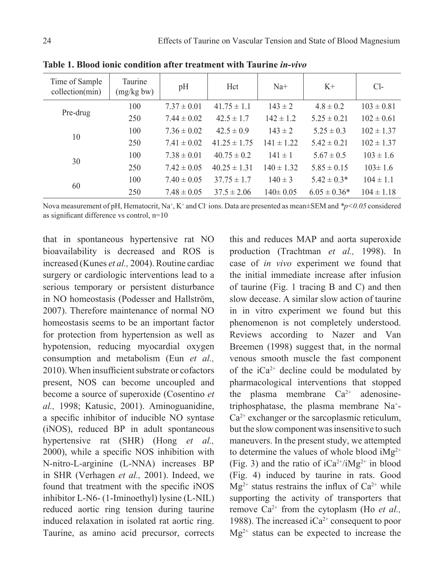| Time of Sample<br>collection(min) | Taurine<br>(mg/kg bw) | pH              | Hct              | $Na+$          | $K+$             | $Cl-$          |
|-----------------------------------|-----------------------|-----------------|------------------|----------------|------------------|----------------|
| Pre-drug                          | 100                   | $7.37 \pm 0.01$ | $41.75 \pm 1.1$  | $143 \pm 2$    | $4.8 \pm 0.2$    | $103 \pm 0.81$ |
|                                   | 250                   | $7.44 \pm 0.02$ | $42.5 \pm 1.7$   | $142 \pm 1.2$  | $5.25 \pm 0.21$  | $102 \pm 0.61$ |
| 10                                | 100                   | $7.36 \pm 0.02$ | $42.5 \pm 0.9$   | $143 \pm 2$    | $5.25 \pm 0.3$   | $102 \pm 1.37$ |
|                                   | 250                   | $7.41 \pm 0.02$ | $41.25 \pm 1.75$ | $141 \pm 1.22$ | $5.42 \pm 0.21$  | $102 \pm 1.37$ |
| 30                                | 100                   | $7.38 \pm 0.01$ | $40.75 \pm 0.2$  | $141 \pm 1$    | $5.67 \pm 0.5$   | $103 \pm 1.6$  |
|                                   | 250                   | $7.42 \pm 0.05$ | $40.25 \pm 1.31$ | $140 \pm 1.32$ | $5.85 \pm 0.15$  | $103 \pm 1.6$  |
| 60                                | 100                   | $7.40 \pm 0.05$ | $37.75 \pm 1.7$  | $140 \pm 3$    | $5.42 \pm 0.3*$  | $104 \pm 1.1$  |
|                                   | 250                   | $7.48 \pm 0.05$ | $37.5 \pm 2.06$  | $140 \pm 0.05$ | $6.05 \pm 0.36*$ | $104 \pm 1.18$ |

**Table 1. Blood ionic condition after treatment with Taurine** *in-vivo*

Nova measurement of pH, Hematocrit, Na<sup>+</sup>, K<sup>+</sup> and Cl<sup>-</sup>ions. Data are presented as mean±SEM and \*p<0.05 considered as significant difference vs control, n=10

that in spontaneous hypertensive rat NO bioavailability is decreased and ROS is increased (Kunes *et al.,* 2004). Routine cardiac surgery or cardiologic interventions lead to a serious temporary or persistent disturbance in NO homeostasis (Podesser and Hallström, 2007). Therefore maintenance of normal NO homeostasis seems to be an important factor for protection from hypertension as well as hypotension, reducing myocardial oxygen consumption and metabolism (Eun *et al.,* 2010). When insufficient substrate or cofactors present, NOS can become uncoupled and become a source of superoxide (Cosentino *et al.,* 1998; Katusic, 2001). Aminoguanidine, a specific inhibitor of inducible NO syntase (iNOS), reduced BP in adult spontaneous hypertensive rat (SHR) (Hong *et al.,* 2000), while a specific NOS inhibition with N-nitro-L-arginine (L-NNA) increases BP in SHR (Verhagen *et al.,* 2001). Indeed, we found that treatment with the specific iNOS inhibitor L-N6- (1-Iminoethyl) lysine (L-NIL) reduced aortic ring tension during taurine induced relaxation in isolated rat aortic ring. Taurine, as amino acid precursor, corrects

this and reduces MAP and aorta superoxide production (Trachtman *et al.,* 1998). In case of *in vivo* experiment we found that the initial immediate increase after infusion of taurine (Fig. 1 tracing B and C) and then slow decease. A similar slow action of taurine in in vitro experiment we found but this phenomenon is not completely understood. Reviews according to Nazer and Van Breemen (1998) suggest that, in the normal venous smooth muscle the fast component of the  $iCa^{2+}$  decline could be modulated by pharmacological interventions that stopped the plasma membrane  $Ca^{2+}$  adenosinetriphosphatase, the plasma membrane Na+ -  $Ca<sup>2+</sup>$  exchanger or the sarcoplasmic reticulum, but the slow component was insensitive to such maneuvers. In the present study, we attempted to determine the values of whole blood  $iMg^{2+}$ (Fig. 3) and the ratio of  $iCa^{2+}/iMg^{2+}$  in blood (Fig. 4) induced by taurine in rats. Good  $Mg^{2+}$  status restrains the influx of  $Ca^{2+}$  while supporting the activity of transporters that remove Ca2+ from the cytoplasm (Ho *et al.,* 1988). The increased  $iCa^{2+}$  consequent to poor  $Mg^{2+}$  status can be expected to increase the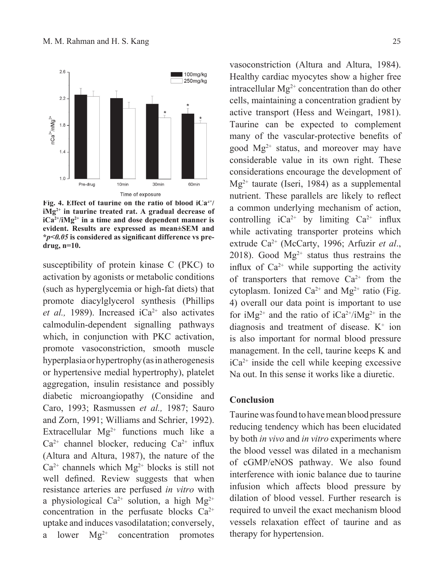

**Fig. 4. Effect of taurine on the ratio of blood iCa2+/ iMg2+ in taurine treated rat. A gradual decrease of iCa2+/iMg2+ in a time and dose dependent manner is evident. Results are expressed as mean±SEM and \****p<0.05* **is considered as significant difference vs predrug, n=10.**

susceptibility of protein kinase C (PKC) to activation by agonists or metabolic conditions (such as hyperglycemia or high-fat diets) that promote diacylglycerol synthesis (Phillips *et al.,* 1989). Increased  $iCa^{2+}$  also activates calmodulin-dependent signalling pathways which, in conjunction with PKC activation, promote vasoconstriction, smooth muscle hyperplasia or hypertrophy (as in atherogenesis or hypertensive medial hypertrophy), platelet aggregation, insulin resistance and possibly diabetic microangiopathy (Considine and Caro, 1993; Rasmussen *et al.,* 1987; Sauro and Zorn, 1991; Williams and Schrier, 1992). Extracellular  $Mg^{2+}$  functions much like a  $Ca^{2+}$  channel blocker, reducing  $Ca^{2+}$  influx (Altura and Altura, 1987), the nature of the  $Ca^{2+}$  channels which  $Mg^{2+}$  blocks is still not well defined. Review suggests that when resistance arteries are perfused *in vitro* with a physiological Ca<sup>2+</sup> solution, a high Mg<sup>2+</sup> concentration in the perfusate blocks  $Ca^{2+}$ uptake and induces vasodilatation; conversely, a lower  $Mg^{2+}$  concentration promotes

vasoconstriction (Altura and Altura, 1984). Healthy cardiac myocytes show a higher free intracellular  $Mg^{2+}$  concentration than do other cells, maintaining a concentration gradient by active transport (Hess and Weingart, 1981). Taurine can be expected to complement many of the vascular-protective benefits of good  $Mg^{2+}$  status, and moreover may have considerable value in its own right. These considerations encourage the development of  $Mg^{2+}$  taurate (Iseri, 1984) as a supplemental nutrient. These parallels are likely to reflect a common underlying mechanism of action, controlling  $iCa^{2+}$  by limiting  $Ca^{2+}$  influx while activating transporter proteins which extrude Ca2+ (McCarty, 1996; Arfuzir *et al*., 2018). Good  $Mg^{2+}$  status thus restrains the influx of  $Ca^{2+}$  while supporting the activity of transporters that remove  $Ca^{2+}$  from the cytoplasm. Ionized  $Ca^{2+}$  and  $Mg^{2+}$  ratio (Fig. 4) overall our data point is important to use for  $iMg^{2+}$  and the ratio of  $iCa^{2+}/iMg^{2+}$  in the diagnosis and treatment of disease.  $K^+$  ion is also important for normal blood pressure management. In the cell, taurine keeps K and  $iCa^{2+}$  inside the cell while keeping excessive Na out. In this sense it works like a diuretic.

#### **Conclusion**

Taurine was found to have mean blood pressure reducing tendency which has been elucidated by both *in vivo* and *in vitro* experiments where the blood vessel was dilated in a mechanism of cGMP/eNOS pathway. We also found interference with ionic balance due to taurine infusion which affects blood pressure by dilation of blood vessel. Further research is required to unveil the exact mechanism blood vessels relaxation effect of taurine and as therapy for hypertension.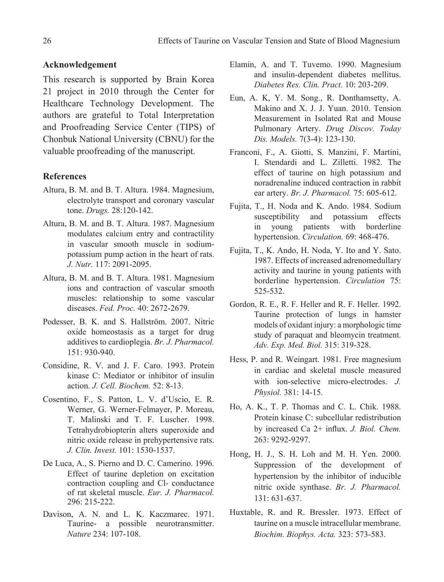### **Acknowledgement**

This research is supported by Brain Korea 21 project in 2010 through the Center for Healthcare Technology Development. The authors are grateful to Total Interpretation and Proofreading Service Center (TIPS) of Chonbuk National University (CBNU) for the valuable proofreading of the manuscript.

#### **References**

- Altura, B. M. and B. T. Altura. 1984. Magnesium, electrolyte transport and coronary vascular tone. *Drugs.* 28:120-142.
- Altura, B. M. and B. T. Altura. 1987. Magnesium modulates calcium entry and contractility in vascular smooth muscle in sodiumpotassium pump action in the heart of rats. *J. Nutr.* 117: 2091-2095.
- Altura, B. M. and B. T. Altura. 1981. Magnesium ions and contraction of vascular smooth muscles: relationship to some vascular diseases. *Fed. Proc.* 40: 2672-2679.
- Podesser, B. K. and S. Hallström. 2007. Nitric oxide homeostasis as a target for drug additives to cardioplegia. *Br. J. Pharmacol.* 151: 930-940.
- Considine, R. V. and J. F. Caro. 1993. Protein kinase C: Mediator or inhibitor of insulin action. *J. Cell. Biochem.* 52: 8-13.
- Cosentino, F., S. Patton, L. V. d'Uscio, E. R. Werner, G. Werner-Felmayer, P. Moreau, T. Malinski and T. F. Luscher. 1998. Tetrahydrobiopterin alters superoxide and nitric oxide release in prehypertensive rats. *J. Clin. Invest.* 101: 1530-1537.
- De Luca, A., S. Pierno and D. C. Camerino. 1996. Effect of taurine depletion on excitation contraction coupling and Cl- conductance of rat skeletal muscle. *Eur. J. Pharmacol.* 296: 215-222.
- Davison, A. N. and L. K. Kaczmarec. 1971. Taurine- a possible neurotransmitter. *Nature* 234: 107-108.
- Elamin, A. and T. Tuvemo. 1990. Magnesium and insulin-dependent diabetes mellitus. *Diabetes Res. Clin. Pract.* 10: 203-209.
- Eun, A. K, Y. M. Song., R. Donthamsetty, A. Makino and X. J. J. Yuan. 2010. Tension Measurement in Isolated Rat and Mouse Pulmonary Artery. *Drug Discov. Today Dis. Models.* 7(3-4): 123-130.
- Franconi, F., A. Giotti, S. Manzini, F. Martini, I. Stendardi and L. Zilletti. 1982. The effect of taurine on high potassium and noradrenaline induced contraction in rabbit ear artery. *Br. J. Pharmacol.* 75: 605-612.
- Fujita, T., H. Noda and K. Ando. 1984. Sodium susceptibility and potassium effects in young patients with borderline hypertension. *Circulation.* 69: 468-476.
- Fujita, T., K. Ando, H. Noda, Y. Ito and Y. Sato. 1987. Effects of increased adrenomedullary activity and taurine in young patients with borderline hypertension. *Circulation* 75: 525-532.
- Gordon, R. E., R. F. Heller and R. F. Heller. 1992. Taurine protection of lungs in hamster models of oxidant injury: a morphologic time study of paraquat and bleomycin treatment. *Adv. Exp. Med. Biol.* 315: 319-328.
- Hess, P. and R. Weingart. 1981. Free magnesium in cardiac and skeletal muscle measured with ion-selective micro-electrodes. *J. Physiol.* 381: 14-15.
- Ho, A. K., T. P. Thomas and C. L. Chik. 1988. Protein kinase C: subcellular redistribution by increased Ca 2+ influx. *J. Biol. Chem.* 263: 9292-9297.
- Hong, H. J., S. H. Loh and M. H. Yen. 2000. Suppression of the development of hypertension by the inhibitor of inducible nitric oxide synthase. *Br. J. Pharmacol.*  131: 631-637.
- Huxtable, R. and R. Bressler. 1973. Effect of taurine on a muscle intracellular membrane. *Biochim. Biophys. Acta.* 323: 573-583.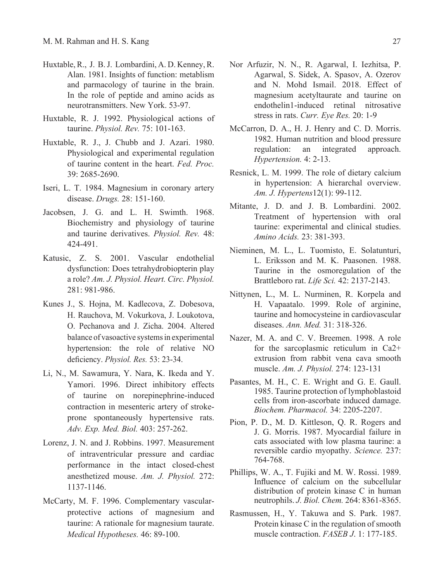- Huxtable, R., J. B. J. Lombardini, A. D. Kenney, R. Alan. 1981. Insights of function: metablism and parmacology of taurine in the brain. In the role of peptide and amino acids as neurotransmitters. New York. 53-97.
- Huxtable, R. J. 1992. Physiological actions of taurine. *Physiol. Rev.* 75: 101-163.
- Huxtable, R. J., J. Chubb and J. Azari. 1980. Physiological and experimental regulation of taurine content in the heart. *Fed. Proc.* 39: 2685-2690.
- Iseri, L. T. 1984. Magnesium in coronary artery disease. *Drugs.* 28: 151-160.
- Jacobsen, J. G. and L. H. Swimth. 1968. Biochemistry and physiology of taurine and taurine derivatives. *Physiol. Rev.* 48: 424-491.
- Katusic, Z. S. 2001. Vascular endothelial dysfunction: Does tetrahydrobiopterin play a role? *Am. J. Physiol. Heart. Circ. Physiol.*  281: 981-986.
- Kunes J., S. Hojna, M. Kadlecova, Z. Dobesova, H. Rauchova, M. Vokurkova, J. Loukotova, O. Pechanova and J. Zicha. 2004. Altered balance of vasoactive systems in experimental hypertension: the role of relative NO deficiency. *Physiol. Res.* 53: 23-34.
- Li, N., M. Sawamura, Y. Nara, K. Ikeda and Y. Yamori. 1996. Direct inhibitory effects of taurine on norepinephrine-induced contraction in mesenteric artery of strokeprone spontaneously hypertensive rats. *Adv. Exp. Med. Biol.* 403: 257-262.
- Lorenz, J. N. and J. Robbins. 1997. Measurement of intraventricular pressure and cardiac performance in the intact closed-chest anesthetized mouse. *Am. J. Physiol.* 272: 1137-1146.
- McCarty, M. F. 1996. Complementary vascularprotective actions of magnesium and taurine: A rationale for magnesium taurate. *Medical Hypotheses.* 46: 89-100.
- Nor Arfuzir, N. N., R. Agarwal, I. Iezhitsa, P. Agarwal, S. Sidek, A. Spasov, A. Ozerov and N. Mohd Ismail. 2018. Effect of magnesium acetyltaurate and taurine on endothelin1-induced retinal nitrosative stress in rats. *Curr. Eye Res.* 20: 1-9
- McCarron, D. A., H. J. Henry and C. D. Morris. 1982. Human nutrition and blood pressure regulation: an integrated approach. *Hypertension.* 4: 2-13.
- Resnick, L. M. 1999. The role of dietary calcium in hypertension: A hierarchal overview. *Am. J. Hypertens*12(1): 99-112.
- Mitante, J. D. and J. B. Lombardini. 2002. Treatment of hypertension with oral taurine: experimental and clinical studies. *Amino Acids.* 23: 381-393.
- Nieminen, M. L., L. Tuomisto, E. Solatunturi, L. Eriksson and M. K. Paasonen. 1988. Taurine in the osmoregulation of the Brattleboro rat. *Life Sci.* 42: 2137-2143.
- Nittynen, L., M. L. Nurminen, R. Korpela and H. Vapaatalo. 1999. Role of arginine, taurine and homocysteine in cardiovascular diseases. *Ann. Med.* 31: 318-326.
- Nazer, M. A. and C. V. Breemen. 1998. A role for the sarcoplasmic reticulum in Ca2+ extrusion from rabbit vena cava smooth muscle. *Am. J. Physiol.* 274: 123-131
- Pasantes, M. H., C. E. Wright and G. E. Gaull. 1985. Taurine protection of lymphoblastoid cells from iron-ascorbate induced damage. *Biochem. Pharmacol.* 34: 2205-2207.
- Pion, P. D., M. D. Kittleson, Q. R. Rogers and J. G. Morris. 1987. Myocardial failure in cats associated with low plasma taurine: a reversible cardio myopathy. *Science.* 237: 764-768.
- Phillips, W. A., T. Fujiki and M. W. Rossi. 1989. Influence of calcium on the subcellular distribution of protein kinase C in human neutrophils. *J. Biol. Chem.* 264: 8361-8365.
- Rasmussen, H., Y. Takuwa and S. Park. 1987. Protein kinase C in the regulation of smooth muscle contraction. *FASEB J*. 1: 177-185.